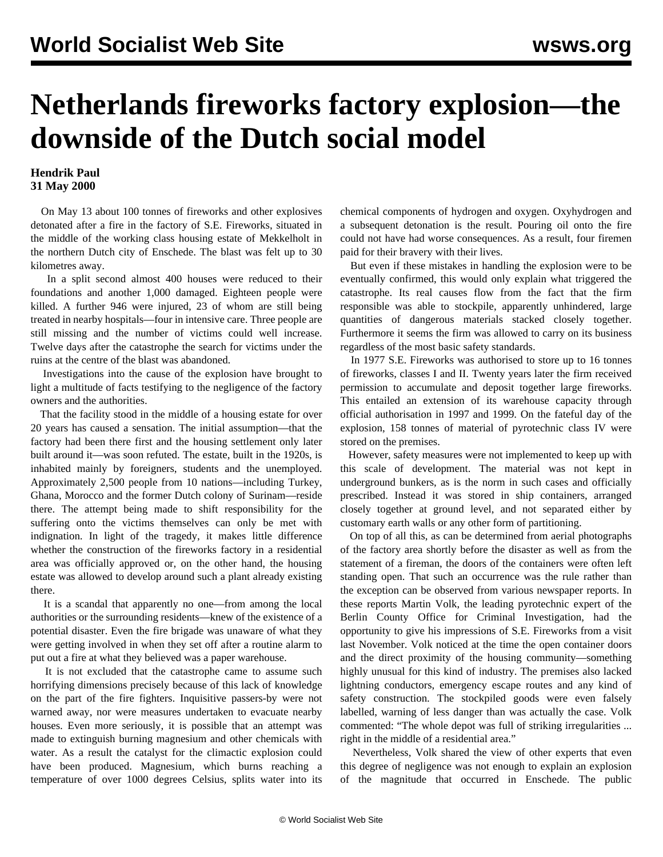## **Netherlands fireworks factory explosion—the downside of the Dutch social model**

## **Hendrik Paul 31 May 2000**

 On May 13 about 100 tonnes of fireworks and other explosives detonated after a fire in the factory of S.E. Fireworks, situated in the middle of the working class housing estate of Mekkelholt in the northern Dutch city of Enschede. The blast was felt up to 30 kilometres away.

 In a split second almost 400 houses were reduced to their foundations and another 1,000 damaged. Eighteen people were killed. A further 946 were injured, 23 of whom are still being treated in nearby hospitals—four in intensive care. Three people are still missing and the number of victims could well increase. Twelve days after the catastrophe the search for victims under the ruins at the centre of the blast was abandoned.

 Investigations into the cause of the explosion have brought to light a multitude of facts testifying to the negligence of the factory owners and the authorities.

 That the facility stood in the middle of a housing estate for over 20 years has caused a sensation. The initial assumption—that the factory had been there first and the housing settlement only later built around it—was soon refuted. The estate, built in the 1920s, is inhabited mainly by foreigners, students and the unemployed. Approximately 2,500 people from 10 nations—including Turkey, Ghana, Morocco and the former Dutch colony of Surinam—reside there. The attempt being made to shift responsibility for the suffering onto the victims themselves can only be met with indignation. In light of the tragedy, it makes little difference whether the construction of the fireworks factory in a residential area was officially approved or, on the other hand, the housing estate was allowed to develop around such a plant already existing there.

 It is a scandal that apparently no one—from among the local authorities or the surrounding residents—knew of the existence of a potential disaster. Even the fire brigade was unaware of what they were getting involved in when they set off after a routine alarm to put out a fire at what they believed was a paper warehouse.

 It is not excluded that the catastrophe came to assume such horrifying dimensions precisely because of this lack of knowledge on the part of the fire fighters. Inquisitive passers-by were not warned away, nor were measures undertaken to evacuate nearby houses. Even more seriously, it is possible that an attempt was made to extinguish burning magnesium and other chemicals with water. As a result the catalyst for the climactic explosion could have been produced. Magnesium, which burns reaching a temperature of over 1000 degrees Celsius, splits water into its chemical components of hydrogen and oxygen. Oxyhydrogen and a subsequent detonation is the result. Pouring oil onto the fire could not have had worse consequences. As a result, four firemen paid for their bravery with their lives.

 But even if these mistakes in handling the explosion were to be eventually confirmed, this would only explain what triggered the catastrophe. Its real causes flow from the fact that the firm responsible was able to stockpile, apparently unhindered, large quantities of dangerous materials stacked closely together. Furthermore it seems the firm was allowed to carry on its business regardless of the most basic safety standards.

 In 1977 S.E. Fireworks was authorised to store up to 16 tonnes of fireworks, classes I and II. Twenty years later the firm received permission to accumulate and deposit together large fireworks. This entailed an extension of its warehouse capacity through official authorisation in 1997 and 1999. On the fateful day of the explosion, 158 tonnes of material of pyrotechnic class IV were stored on the premises.

 However, safety measures were not implemented to keep up with this scale of development. The material was not kept in underground bunkers, as is the norm in such cases and officially prescribed. Instead it was stored in ship containers, arranged closely together at ground level, and not separated either by customary earth walls or any other form of partitioning.

 On top of all this, as can be determined from aerial photographs of the factory area shortly before the disaster as well as from the statement of a fireman, the doors of the containers were often left standing open. That such an occurrence was the rule rather than the exception can be observed from various newspaper reports. In these reports Martin Volk, the leading pyrotechnic expert of the Berlin County Office for Criminal Investigation, had the opportunity to give his impressions of S.E. Fireworks from a visit last November. Volk noticed at the time the open container doors and the direct proximity of the housing community—something highly unusual for this kind of industry. The premises also lacked lightning conductors, emergency escape routes and any kind of safety construction. The stockpiled goods were even falsely labelled, warning of less danger than was actually the case. Volk commented: "The whole depot was full of striking irregularities ... right in the middle of a residential area."

 Nevertheless, Volk shared the view of other experts that even this degree of negligence was not enough to explain an explosion of the magnitude that occurred in Enschede. The public